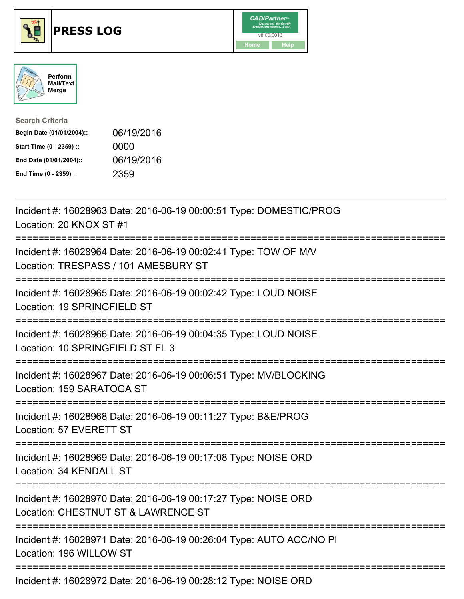





| <b>Search Criteria</b>    |            |
|---------------------------|------------|
| Begin Date (01/01/2004):: | 06/19/2016 |
| Start Time (0 - 2359) ::  | 0000       |
| End Date (01/01/2004)::   | 06/19/2016 |
| End Time (0 - 2359) ::    | 2359       |

| Incident #: 16028963 Date: 2016-06-19 00:00:51 Type: DOMESTIC/PROG<br>Location: 20 KNOX ST #1                                      |
|------------------------------------------------------------------------------------------------------------------------------------|
| Incident #: 16028964 Date: 2016-06-19 00:02:41 Type: TOW OF M/V<br>Location: TRESPASS / 101 AMESBURY ST                            |
| Incident #: 16028965 Date: 2016-06-19 00:02:42 Type: LOUD NOISE<br>Location: 19 SPRINGFIELD ST                                     |
| Incident #: 16028966 Date: 2016-06-19 00:04:35 Type: LOUD NOISE<br>Location: 10 SPRINGFIELD ST FL 3<br>=========================== |
| Incident #: 16028967 Date: 2016-06-19 00:06:51 Type: MV/BLOCKING<br>Location: 159 SARATOGA ST                                      |
| Incident #: 16028968 Date: 2016-06-19 00:11:27 Type: B&E/PROG<br>Location: 57 EVERETT ST<br>------------------------------         |
| Incident #: 16028969 Date: 2016-06-19 00:17:08 Type: NOISE ORD<br>Location: 34 KENDALL ST<br>------------------------------        |
| Incident #: 16028970 Date: 2016-06-19 00:17:27 Type: NOISE ORD<br>Location: CHESTNUT ST & LAWRENCE ST                              |
| Incident #: 16028971 Date: 2016-06-19 00:26:04 Type: AUTO ACC/NO PI<br>Location: 196 WILLOW ST                                     |
| $1.11.1$ $1.00000700$ $1.001000100000000$ $10.7$ $1.010000000$                                                                     |

Incident #: 16028972 Date: 2016-06-19 00:28:12 Type: NOISE ORD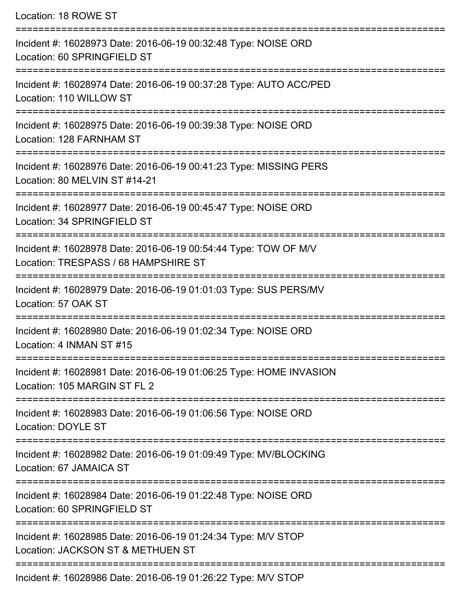| Location: 18 ROWE ST                                                                                                                |
|-------------------------------------------------------------------------------------------------------------------------------------|
| Incident #: 16028973 Date: 2016-06-19 00:32:48 Type: NOISE ORD<br>Location: 60 SPRINGFIELD ST                                       |
| Incident #: 16028974 Date: 2016-06-19 00:37:28 Type: AUTO ACC/PED<br>Location: 110 WILLOW ST<br>=================================== |
| Incident #: 16028975 Date: 2016-06-19 00:39:38 Type: NOISE ORD<br>Location: 128 FARNHAM ST                                          |
| Incident #: 16028976 Date: 2016-06-19 00:41:23 Type: MISSING PERS<br>Location: 80 MELVIN ST #14-21                                  |
| Incident #: 16028977 Date: 2016-06-19 00:45:47 Type: NOISE ORD<br>Location: 34 SPRINGFIELD ST                                       |
| Incident #: 16028978 Date: 2016-06-19 00:54:44 Type: TOW OF M/V<br>Location: TRESPASS / 68 HAMPSHIRE ST                             |
| Incident #: 16028979 Date: 2016-06-19 01:01:03 Type: SUS PERS/MV<br>Location: 57 OAK ST                                             |
| Incident #: 16028980 Date: 2016-06-19 01:02:34 Type: NOISE ORD<br>Location: 4 INMAN ST #15                                          |
| Incident #: 16028981 Date: 2016-06-19 01:06:25 Type: HOME INVASION<br>Location: 105 MARGIN ST FL 2                                  |
| Incident #: 16028983 Date: 2016-06-19 01:06:56 Type: NOISE ORD<br><b>Location: DOYLE ST</b>                                         |
| Incident #: 16028982 Date: 2016-06-19 01:09:49 Type: MV/BLOCKING<br>Location: 67 JAMAICA ST                                         |
| Incident #: 16028984 Date: 2016-06-19 01:22:48 Type: NOISE ORD<br>Location: 60 SPRINGFIELD ST                                       |
| Incident #: 16028985 Date: 2016-06-19 01:24:34 Type: M/V STOP<br>Location: JACKSON ST & METHUEN ST                                  |
| Incident #: 16028986 Date: 2016-06-19 01:26:22 Type: M/V STOP                                                                       |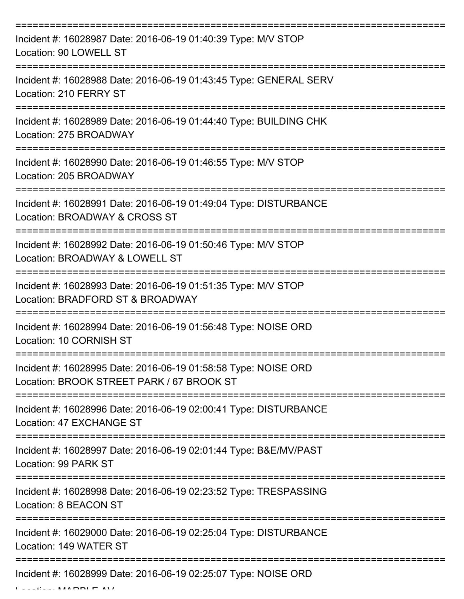| Incident #: 16028987 Date: 2016-06-19 01:40:39 Type: M/V STOP<br>Location: 90 LOWELL ST                     |
|-------------------------------------------------------------------------------------------------------------|
| Incident #: 16028988 Date: 2016-06-19 01:43:45 Type: GENERAL SERV<br>Location: 210 FERRY ST                 |
| Incident #: 16028989 Date: 2016-06-19 01:44:40 Type: BUILDING CHK<br>Location: 275 BROADWAY                 |
| Incident #: 16028990 Date: 2016-06-19 01:46:55 Type: M/V STOP<br>Location: 205 BROADWAY                     |
| Incident #: 16028991 Date: 2016-06-19 01:49:04 Type: DISTURBANCE<br>Location: BROADWAY & CROSS ST           |
| Incident #: 16028992 Date: 2016-06-19 01:50:46 Type: M/V STOP<br>Location: BROADWAY & LOWELL ST             |
| Incident #: 16028993 Date: 2016-06-19 01:51:35 Type: M/V STOP<br>Location: BRADFORD ST & BROADWAY           |
| Incident #: 16028994 Date: 2016-06-19 01:56:48 Type: NOISE ORD<br>Location: 10 CORNISH ST                   |
| Incident #: 16028995 Date: 2016-06-19 01:58:58 Type: NOISE ORD<br>Location: BROOK STREET PARK / 67 BROOK ST |
| Incident #: 16028996 Date: 2016-06-19 02:00:41 Type: DISTURBANCE<br>Location: 47 EXCHANGE ST                |
| Incident #: 16028997 Date: 2016-06-19 02:01:44 Type: B&E/MV/PAST<br>Location: 99 PARK ST                    |
| Incident #: 16028998 Date: 2016-06-19 02:23:52 Type: TRESPASSING<br>Location: 8 BEACON ST                   |
| Incident #: 16029000 Date: 2016-06-19 02:25:04 Type: DISTURBANCE<br>Location: 149 WATER ST                  |
| Incident #: 16028999 Date: 2016-06-19 02:25:07 Type: NOISE ORD                                              |

Location: MARBLE AV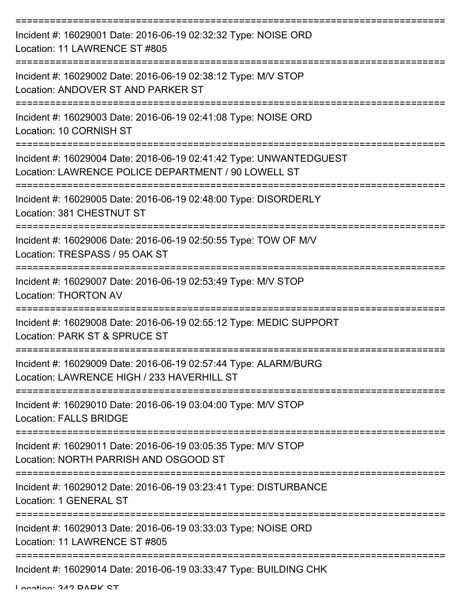| Incident #: 16029001 Date: 2016-06-19 02:32:32 Type: NOISE ORD<br>Location: 11 LAWRENCE ST #805                                        |
|----------------------------------------------------------------------------------------------------------------------------------------|
| Incident #: 16029002 Date: 2016-06-19 02:38:12 Type: M/V STOP<br>Location: ANDOVER ST AND PARKER ST                                    |
| Incident #: 16029003 Date: 2016-06-19 02:41:08 Type: NOISE ORD<br>Location: 10 CORNISH ST                                              |
| Incident #: 16029004 Date: 2016-06-19 02:41:42 Type: UNWANTEDGUEST<br>Location: LAWRENCE POLICE DEPARTMENT / 90 LOWELL ST              |
| Incident #: 16029005 Date: 2016-06-19 02:48:00 Type: DISORDERLY<br>Location: 381 CHESTNUT ST                                           |
| =================================<br>Incident #: 16029006 Date: 2016-06-19 02:50:55 Type: TOW OF M/V<br>Location: TRESPASS / 95 OAK ST |
| Incident #: 16029007 Date: 2016-06-19 02:53:49 Type: M/V STOP<br><b>Location: THORTON AV</b>                                           |
| Incident #: 16029008 Date: 2016-06-19 02:55:12 Type: MEDIC SUPPORT<br>Location: PARK ST & SPRUCE ST                                    |
| Incident #: 16029009 Date: 2016-06-19 02:57:44 Type: ALARM/BURG<br>Location: LAWRENCE HIGH / 233 HAVERHILL ST                          |
| Incident #: 16029010 Date: 2016-06-19 03:04:00 Type: M/V STOP<br><b>Location: FALLS BRIDGE</b>                                         |
| Incident #: 16029011 Date: 2016-06-19 03:05:35 Type: M/V STOP<br>Location: NORTH PARRISH AND OSGOOD ST                                 |
| Incident #: 16029012 Date: 2016-06-19 03:23:41 Type: DISTURBANCE<br>Location: 1 GENERAL ST                                             |
| Incident #: 16029013 Date: 2016-06-19 03:33:03 Type: NOISE ORD<br>Location: 11 LAWRENCE ST #805                                        |
| Incident #: 16029014 Date: 2016-06-19 03:33:47 Type: BUILDING CHK                                                                      |

Location: 342 DADK CT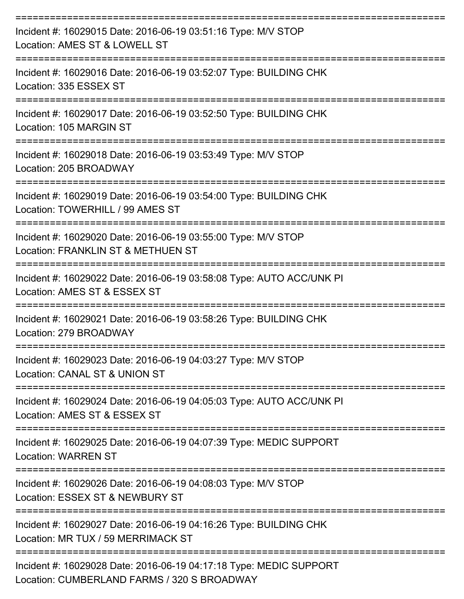| Incident #: 16029015 Date: 2016-06-19 03:51:16 Type: M/V STOP<br>Location: AMES ST & LOWELL ST                    |
|-------------------------------------------------------------------------------------------------------------------|
| Incident #: 16029016 Date: 2016-06-19 03:52:07 Type: BUILDING CHK<br>Location: 335 ESSEX ST                       |
| Incident #: 16029017 Date: 2016-06-19 03:52:50 Type: BUILDING CHK<br>Location: 105 MARGIN ST                      |
| Incident #: 16029018 Date: 2016-06-19 03:53:49 Type: M/V STOP<br>Location: 205 BROADWAY                           |
| Incident #: 16029019 Date: 2016-06-19 03:54:00 Type: BUILDING CHK<br>Location: TOWERHILL / 99 AMES ST             |
| Incident #: 16029020 Date: 2016-06-19 03:55:00 Type: M/V STOP<br>Location: FRANKLIN ST & METHUEN ST               |
| Incident #: 16029022 Date: 2016-06-19 03:58:08 Type: AUTO ACC/UNK PI<br>Location: AMES ST & ESSEX ST              |
| Incident #: 16029021 Date: 2016-06-19 03:58:26 Type: BUILDING CHK<br>Location: 279 BROADWAY                       |
| Incident #: 16029023 Date: 2016-06-19 04:03:27 Type: M/V STOP<br>Location: CANAL ST & UNION ST                    |
| Incident #: 16029024 Date: 2016-06-19 04:05:03 Type: AUTO ACC/UNK PI<br>Location: AMES ST & ESSEX ST              |
| Incident #: 16029025 Date: 2016-06-19 04:07:39 Type: MEDIC SUPPORT<br><b>Location: WARREN ST</b>                  |
| Incident #: 16029026 Date: 2016-06-19 04:08:03 Type: M/V STOP<br>Location: ESSEX ST & NEWBURY ST                  |
| Incident #: 16029027 Date: 2016-06-19 04:16:26 Type: BUILDING CHK<br>Location: MR TUX / 59 MERRIMACK ST           |
| Incident #: 16029028 Date: 2016-06-19 04:17:18 Type: MEDIC SUPPORT<br>Location: CUMBERLAND FARMS / 320 S BROADWAY |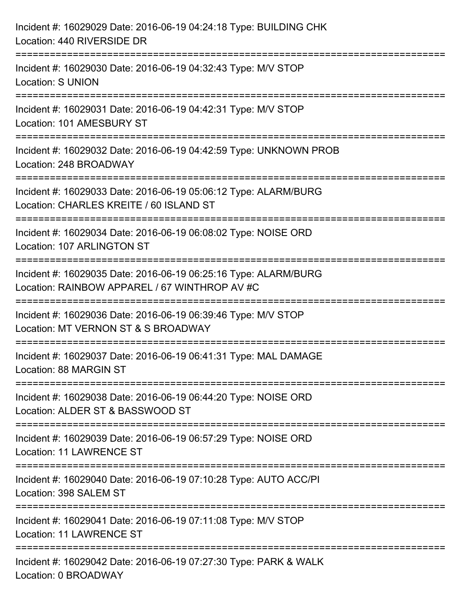| Incident #: 16029029 Date: 2016-06-19 04:24:18 Type: BUILDING CHK<br>Location: 440 RIVERSIDE DR                  |
|------------------------------------------------------------------------------------------------------------------|
| Incident #: 16029030 Date: 2016-06-19 04:32:43 Type: M/V STOP<br><b>Location: S UNION</b>                        |
| Incident #: 16029031 Date: 2016-06-19 04:42:31 Type: M/V STOP<br>Location: 101 AMESBURY ST                       |
| Incident #: 16029032 Date: 2016-06-19 04:42:59 Type: UNKNOWN PROB<br>Location: 248 BROADWAY                      |
| Incident #: 16029033 Date: 2016-06-19 05:06:12 Type: ALARM/BURG<br>Location: CHARLES KREITE / 60 ISLAND ST       |
| Incident #: 16029034 Date: 2016-06-19 06:08:02 Type: NOISE ORD<br>Location: 107 ARLINGTON ST                     |
| Incident #: 16029035 Date: 2016-06-19 06:25:16 Type: ALARM/BURG<br>Location: RAINBOW APPAREL / 67 WINTHROP AV #C |
| Incident #: 16029036 Date: 2016-06-19 06:39:46 Type: M/V STOP<br>Location: MT VERNON ST & S BROADWAY             |
| Incident #: 16029037 Date: 2016-06-19 06:41:31 Type: MAL DAMAGE<br>Location: 88 MARGIN ST                        |
| Incident #: 16029038 Date: 2016-06-19 06:44:20 Type: NOISE ORD<br>Location: ALDER ST & BASSWOOD ST               |
| Incident #: 16029039 Date: 2016-06-19 06:57:29 Type: NOISE ORD<br><b>Location: 11 LAWRENCE ST</b>                |
| Incident #: 16029040 Date: 2016-06-19 07:10:28 Type: AUTO ACC/PI<br>Location: 398 SALEM ST                       |
| Incident #: 16029041 Date: 2016-06-19 07:11:08 Type: M/V STOP<br><b>Location: 11 LAWRENCE ST</b>                 |
| Incident #: 16029042 Date: 2016-06-19 07:27:30 Type: PARK & WALK<br>Location: 0 BROADWAY                         |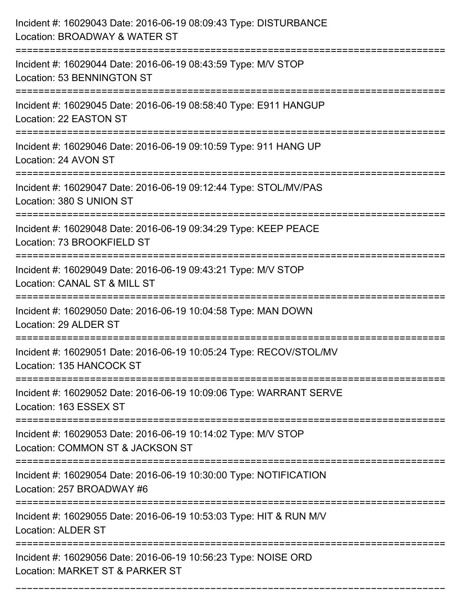| Incident #: 16029043 Date: 2016-06-19 08:09:43 Type: DISTURBANCE<br>Location: BROADWAY & WATER ST                                   |
|-------------------------------------------------------------------------------------------------------------------------------------|
| Incident #: 16029044 Date: 2016-06-19 08:43:59 Type: M/V STOP<br>Location: 53 BENNINGTON ST                                         |
| Incident #: 16029045 Date: 2016-06-19 08:58:40 Type: E911 HANGUP<br>Location: 22 EASTON ST                                          |
| Incident #: 16029046 Date: 2016-06-19 09:10:59 Type: 911 HANG UP<br>Location: 24 AVON ST                                            |
| Incident #: 16029047 Date: 2016-06-19 09:12:44 Type: STOL/MV/PAS<br>Location: 380 S UNION ST                                        |
| Incident #: 16029048 Date: 2016-06-19 09:34:29 Type: KEEP PEACE<br>Location: 73 BROOKFIELD ST                                       |
| Incident #: 16029049 Date: 2016-06-19 09:43:21 Type: M/V STOP<br>Location: CANAL ST & MILL ST                                       |
| Incident #: 16029050 Date: 2016-06-19 10:04:58 Type: MAN DOWN<br>Location: 29 ALDER ST                                              |
| Incident #: 16029051 Date: 2016-06-19 10:05:24 Type: RECOV/STOL/MV<br>Location: 135 HANCOCK ST                                      |
| Incident #: 16029052 Date: 2016-06-19 10:09:06 Type: WARRANT SERVE<br>Location: 163 ESSEX ST<br>----------------------------------- |
| Incident #: 16029053 Date: 2016-06-19 10:14:02 Type: M/V STOP<br>Location: COMMON ST & JACKSON ST                                   |
| Incident #: 16029054 Date: 2016-06-19 10:30:00 Type: NOTIFICATION<br>Location: 257 BROADWAY #6                                      |
| Incident #: 16029055 Date: 2016-06-19 10:53:03 Type: HIT & RUN M/V<br><b>Location: ALDER ST</b>                                     |
| Incident #: 16029056 Date: 2016-06-19 10:56:23 Type: NOISE ORD<br>Location: MARKET ST & PARKER ST                                   |

===========================================================================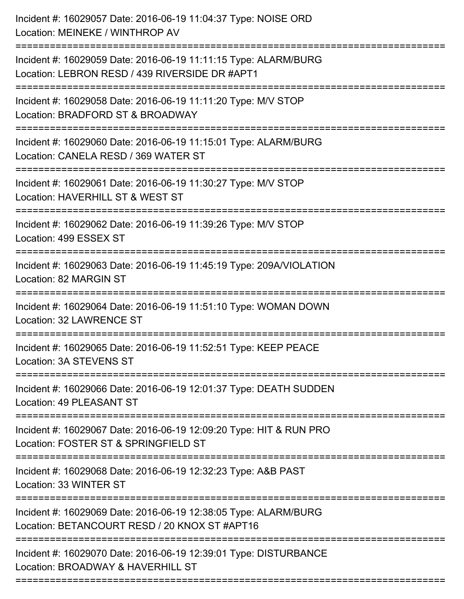| Incident #: 16029057 Date: 2016-06-19 11:04:37 Type: NOISE ORD<br>Location: MEINEKE / WINTHROP AV                                           |
|---------------------------------------------------------------------------------------------------------------------------------------------|
| Incident #: 16029059 Date: 2016-06-19 11:11:15 Type: ALARM/BURG<br>Location: LEBRON RESD / 439 RIVERSIDE DR #APT1                           |
| Incident #: 16029058 Date: 2016-06-19 11:11:20 Type: M/V STOP<br>Location: BRADFORD ST & BROADWAY                                           |
| Incident #: 16029060 Date: 2016-06-19 11:15:01 Type: ALARM/BURG<br>Location: CANELA RESD / 369 WATER ST                                     |
| Incident #: 16029061 Date: 2016-06-19 11:30:27 Type: M/V STOP<br>Location: HAVERHILL ST & WEST ST<br>====================================== |
| Incident #: 16029062 Date: 2016-06-19 11:39:26 Type: M/V STOP<br>Location: 499 ESSEX ST                                                     |
| Incident #: 16029063 Date: 2016-06-19 11:45:19 Type: 209A/VIOLATION<br>Location: 82 MARGIN ST                                               |
| Incident #: 16029064 Date: 2016-06-19 11:51:10 Type: WOMAN DOWN<br>Location: 32 LAWRENCE ST                                                 |
| Incident #: 16029065 Date: 2016-06-19 11:52:51 Type: KEEP PEACE<br>Location: 3A STEVENS ST                                                  |
| Incident #: 16029066 Date: 2016-06-19 12:01:37 Type: DEATH SUDDEN<br>Location: 49 PLEASANT ST                                               |
| Incident #: 16029067 Date: 2016-06-19 12:09:20 Type: HIT & RUN PRO<br>Location: FOSTER ST & SPRINGFIELD ST                                  |
| Incident #: 16029068 Date: 2016-06-19 12:32:23 Type: A&B PAST<br>Location: 33 WINTER ST                                                     |
| Incident #: 16029069 Date: 2016-06-19 12:38:05 Type: ALARM/BURG<br>Location: BETANCOURT RESD / 20 KNOX ST #APT16                            |
| Incident #: 16029070 Date: 2016-06-19 12:39:01 Type: DISTURBANCE<br>Location: BROADWAY & HAVERHILL ST                                       |
|                                                                                                                                             |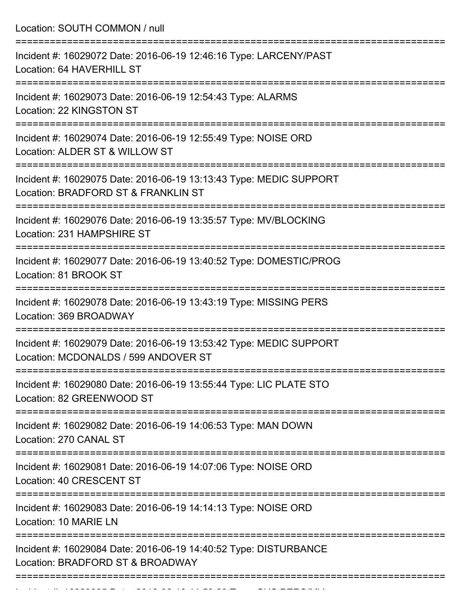Location: SOUTH COMMON / null

| Incident #: 16029072 Date: 2016-06-19 12:46:16 Type: LARCENY/PAST<br>Location: 64 HAVERHILL ST             |
|------------------------------------------------------------------------------------------------------------|
| Incident #: 16029073 Date: 2016-06-19 12:54:43 Type: ALARMS<br>Location: 22 KINGSTON ST                    |
| Incident #: 16029074 Date: 2016-06-19 12:55:49 Type: NOISE ORD<br>Location: ALDER ST & WILLOW ST           |
| Incident #: 16029075 Date: 2016-06-19 13:13:43 Type: MEDIC SUPPORT<br>Location: BRADFORD ST & FRANKLIN ST  |
| Incident #: 16029076 Date: 2016-06-19 13:35:57 Type: MV/BLOCKING<br>Location: 231 HAMPSHIRE ST             |
| Incident #: 16029077 Date: 2016-06-19 13:40:52 Type: DOMESTIC/PROG<br>Location: 81 BROOK ST                |
| Incident #: 16029078 Date: 2016-06-19 13:43:19 Type: MISSING PERS<br>Location: 369 BROADWAY                |
| Incident #: 16029079 Date: 2016-06-19 13:53:42 Type: MEDIC SUPPORT<br>Location: MCDONALDS / 599 ANDOVER ST |
| Incident #: 16029080 Date: 2016-06-19 13:55:44 Type: LIC PLATE STO<br>Location: 82 GREENWOOD ST            |
| Incident #: 16029082 Date: 2016-06-19 14:06:53 Type: MAN DOWN<br>Location: 270 CANAL ST                    |
| Incident #: 16029081 Date: 2016-06-19 14:07:06 Type: NOISE ORD<br>Location: 40 CRESCENT ST                 |
| Incident #: 16029083 Date: 2016-06-19 14:14:13 Type: NOISE ORD<br>Location: 10 MARIE LN                    |
| Incident #: 16029084 Date: 2016-06-19 14:40:52 Type: DISTURBANCE<br>Location: BRADFORD ST & BROADWAY       |
|                                                                                                            |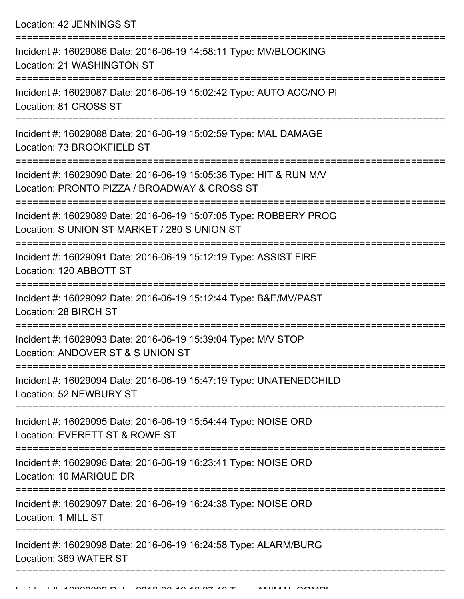Location: 42 JENNINGS ST

| Incident #: 16029086 Date: 2016-06-19 14:58:11 Type: MV/BLOCKING<br>Location: 21 WASHINGTON ST                     |
|--------------------------------------------------------------------------------------------------------------------|
| Incident #: 16029087 Date: 2016-06-19 15:02:42 Type: AUTO ACC/NO PI<br>Location: 81 CROSS ST                       |
| Incident #: 16029088 Date: 2016-06-19 15:02:59 Type: MAL DAMAGE<br>Location: 73 BROOKFIELD ST                      |
| Incident #: 16029090 Date: 2016-06-19 15:05:36 Type: HIT & RUN M/V<br>Location: PRONTO PIZZA / BROADWAY & CROSS ST |
| Incident #: 16029089 Date: 2016-06-19 15:07:05 Type: ROBBERY PROG<br>Location: S UNION ST MARKET / 280 S UNION ST  |
| Incident #: 16029091 Date: 2016-06-19 15:12:19 Type: ASSIST FIRE<br>Location: 120 ABBOTT ST                        |
| Incident #: 16029092 Date: 2016-06-19 15:12:44 Type: B&E/MV/PAST<br>Location: 28 BIRCH ST                          |
| Incident #: 16029093 Date: 2016-06-19 15:39:04 Type: M/V STOP<br>Location: ANDOVER ST & S UNION ST                 |
| Incident #: 16029094 Date: 2016-06-19 15:47:19 Type: UNATENEDCHILD<br>Location: 52 NEWBURY ST                      |
| Incident #: 16029095 Date: 2016-06-19 15:54:44 Type: NOISE ORD<br>Location: EVERETT ST & ROWE ST                   |
| Incident #: 16029096 Date: 2016-06-19 16:23:41 Type: NOISE ORD<br>Location: 10 MARIQUE DR                          |
| Incident #: 16029097 Date: 2016-06-19 16:24:38 Type: NOISE ORD<br>Location: 1 MILL ST                              |
| Incident #: 16029098 Date: 2016-06-19 16:24:58 Type: ALARM/BURG<br>Location: 369 WATER ST                          |
|                                                                                                                    |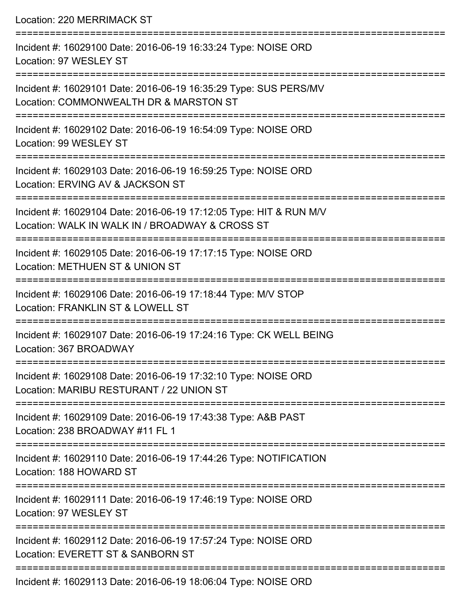Location: 220 MERRIMACK ST =========================================================================== Incident #: 16029100 Date: 2016-06-19 16:33:24 Type: NOISE ORD Location: 97 WESLEY ST =========================================================================== Incident #: 16029101 Date: 2016-06-19 16:35:29 Type: SUS PERS/MV Location: COMMONWEALTH DR & MARSTON ST =========================================================================== Incident #: 16029102 Date: 2016-06-19 16:54:09 Type: NOISE ORD Location: 99 WESLEY ST =========================================================================== Incident #: 16029103 Date: 2016-06-19 16:59:25 Type: NOISE ORD Location: ERVING AV & JACKSON ST =========================================================================== Incident #: 16029104 Date: 2016-06-19 17:12:05 Type: HIT & RUN M/V Location: WALK IN WALK IN / BROADWAY & CROSS ST =========================================================================== Incident #: 16029105 Date: 2016-06-19 17:17:15 Type: NOISE ORD Location: METHUEN ST & UNION ST =========================================================================== Incident #: 16029106 Date: 2016-06-19 17:18:44 Type: M/V STOP Location: FRANKLIN ST & LOWELL ST =========================================================================== Incident #: 16029107 Date: 2016-06-19 17:24:16 Type: CK WELL BEING Location: 367 BROADWAY =========================================================================== Incident #: 16029108 Date: 2016-06-19 17:32:10 Type: NOISE ORD Location: MARIBU RESTURANT / 22 UNION ST =========================================================================== Incident #: 16029109 Date: 2016-06-19 17:43:38 Type: A&B PAST Location: 238 BROADWAY #11 FL 1 =========================================================================== Incident #: 16029110 Date: 2016-06-19 17:44:26 Type: NOTIFICATION Location: 188 HOWARD ST =========================================================================== Incident #: 16029111 Date: 2016-06-19 17:46:19 Type: NOISE ORD Location: 97 WESLEY ST =========================================================================== Incident #: 16029112 Date: 2016-06-19 17:57:24 Type: NOISE ORD Location: EVERETT ST & SANBORN ST ===========================================================================

Incident #: 16029113 Date: 2016-06-19 18:06:04 Type: NOISE ORD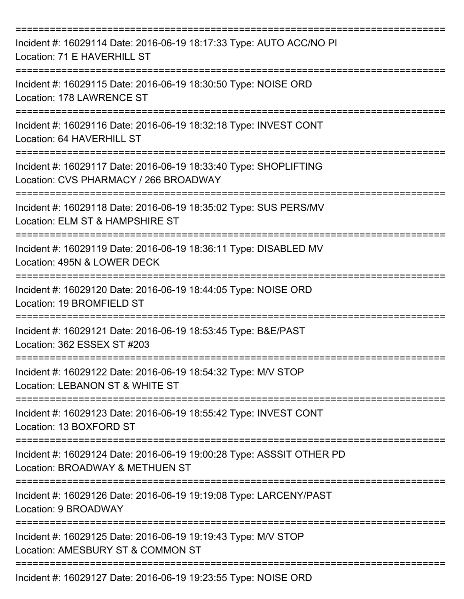| Incident #: 16029114 Date: 2016-06-19 18:17:33 Type: AUTO ACC/NO PI<br>Location: 71 E HAVERHILL ST        |
|-----------------------------------------------------------------------------------------------------------|
| Incident #: 16029115 Date: 2016-06-19 18:30:50 Type: NOISE ORD<br>Location: 178 LAWRENCE ST               |
| Incident #: 16029116 Date: 2016-06-19 18:32:18 Type: INVEST CONT<br>Location: 64 HAVERHILL ST             |
| Incident #: 16029117 Date: 2016-06-19 18:33:40 Type: SHOPLIFTING<br>Location: CVS PHARMACY / 266 BROADWAY |
| Incident #: 16029118 Date: 2016-06-19 18:35:02 Type: SUS PERS/MV<br>Location: ELM ST & HAMPSHIRE ST       |
| Incident #: 16029119 Date: 2016-06-19 18:36:11 Type: DISABLED MV<br>Location: 495N & LOWER DECK           |
| Incident #: 16029120 Date: 2016-06-19 18:44:05 Type: NOISE ORD<br>Location: 19 BROMFIELD ST               |
| Incident #: 16029121 Date: 2016-06-19 18:53:45 Type: B&E/PAST<br>Location: 362 ESSEX ST #203              |
| Incident #: 16029122 Date: 2016-06-19 18:54:32 Type: M/V STOP<br>Location: LEBANON ST & WHITE ST          |
| Incident #: 16029123 Date: 2016-06-19 18:55:42 Type: INVEST CONT<br>Location: 13 BOXFORD ST               |
| Incident #: 16029124 Date: 2016-06-19 19:00:28 Type: ASSSIT OTHER PD<br>Location: BROADWAY & METHUEN ST   |
| Incident #: 16029126 Date: 2016-06-19 19:19:08 Type: LARCENY/PAST<br>Location: 9 BROADWAY                 |
| Incident #: 16029125 Date: 2016-06-19 19:19:43 Type: M/V STOP<br>Location: AMESBURY ST & COMMON ST        |
| Incident #: 16029127 Date: 2016-06-19 19:23:55 Type: NOISE ORD                                            |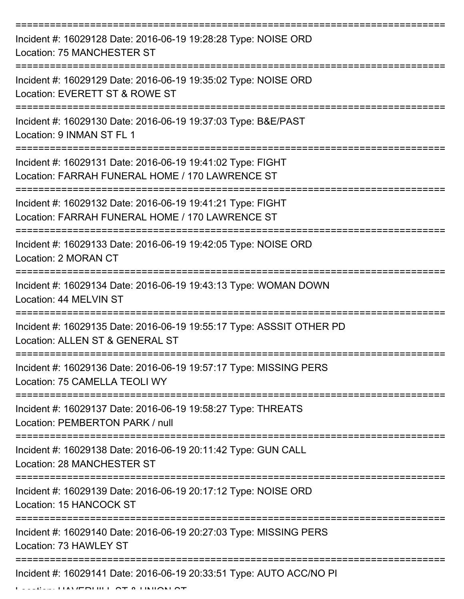| Incident #: 16029128 Date: 2016-06-19 19:28:28 Type: NOISE ORD<br>Location: 75 MANCHESTER ST                                       |
|------------------------------------------------------------------------------------------------------------------------------------|
| Incident #: 16029129 Date: 2016-06-19 19:35:02 Type: NOISE ORD<br>Location: EVERETT ST & ROWE ST                                   |
| Incident #: 16029130 Date: 2016-06-19 19:37:03 Type: B&E/PAST<br>Location: 9 INMAN ST FL 1                                         |
| Incident #: 16029131 Date: 2016-06-19 19:41:02 Type: FIGHT<br>Location: FARRAH FUNERAL HOME / 170 LAWRENCE ST                      |
| Incident #: 16029132 Date: 2016-06-19 19:41:21 Type: FIGHT<br>Location: FARRAH FUNERAL HOME / 170 LAWRENCE ST<br>================= |
| Incident #: 16029133 Date: 2016-06-19 19:42:05 Type: NOISE ORD<br>Location: 2 MORAN CT                                             |
| Incident #: 16029134 Date: 2016-06-19 19:43:13 Type: WOMAN DOWN<br>Location: 44 MELVIN ST                                          |
| Incident #: 16029135 Date: 2016-06-19 19:55:17 Type: ASSSIT OTHER PD<br>Location: ALLEN ST & GENERAL ST                            |
| Incident #: 16029136 Date: 2016-06-19 19:57:17 Type: MISSING PERS<br>Location: 75 CAMELLA TEOLI WY                                 |
| Incident #: 16029137 Date: 2016-06-19 19:58:27 Type: THREATS<br>Location: PEMBERTON PARK / null                                    |
| Incident #: 16029138 Date: 2016-06-19 20:11:42 Type: GUN CALL<br>Location: 28 MANCHESTER ST                                        |
| Incident #: 16029139 Date: 2016-06-19 20:17:12 Type: NOISE ORD<br>Location: 15 HANCOCK ST                                          |
| Incident #: 16029140 Date: 2016-06-19 20:27:03 Type: MISSING PERS<br>Location: 73 HAWLEY ST                                        |
| Incident #: 16029141 Date: 2016-06-19 20:33:51 Type: AUTO ACC/NO PI<br>$11111$ $P$ $P$ $11111$ $P$ $T$ $R$ $I1111$ $R11$ $R1$      |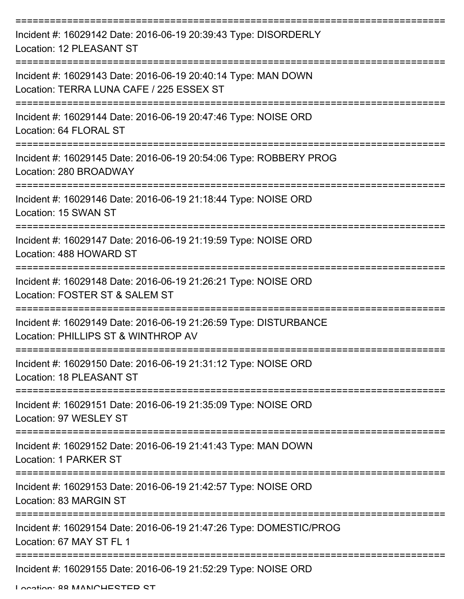| Incident #: 16029142 Date: 2016-06-19 20:39:43 Type: DISORDERLY<br>Location: 12 PLEASANT ST                 |
|-------------------------------------------------------------------------------------------------------------|
| Incident #: 16029143 Date: 2016-06-19 20:40:14 Type: MAN DOWN<br>Location: TERRA LUNA CAFE / 225 ESSEX ST   |
| Incident #: 16029144 Date: 2016-06-19 20:47:46 Type: NOISE ORD<br>Location: 64 FLORAL ST                    |
| Incident #: 16029145 Date: 2016-06-19 20:54:06 Type: ROBBERY PROG<br>Location: 280 BROADWAY                 |
| Incident #: 16029146 Date: 2016-06-19 21:18:44 Type: NOISE ORD<br>Location: 15 SWAN ST                      |
| Incident #: 16029147 Date: 2016-06-19 21:19:59 Type: NOISE ORD<br>Location: 488 HOWARD ST                   |
| Incident #: 16029148 Date: 2016-06-19 21:26:21 Type: NOISE ORD<br>Location: FOSTER ST & SALEM ST            |
| Incident #: 16029149 Date: 2016-06-19 21:26:59 Type: DISTURBANCE<br>Location: PHILLIPS ST & WINTHROP AV     |
| Incident #: 16029150 Date: 2016-06-19 21:31:12 Type: NOISE ORD<br>Location: 18 PLEASANT ST                  |
| ===============<br>Incident #: 16029151 Date: 2016-06-19 21:35:09 Type: NOISE ORD<br>Location: 97 WESLEY ST |
| Incident #: 16029152 Date: 2016-06-19 21:41:43 Type: MAN DOWN<br>Location: 1 PARKER ST                      |
| Incident #: 16029153 Date: 2016-06-19 21:42:57 Type: NOISE ORD<br>Location: 83 MARGIN ST                    |
| Incident #: 16029154 Date: 2016-06-19 21:47:26 Type: DOMESTIC/PROG<br>Location: 67 MAY ST FL 1              |
| Incident #: 16029155 Date: 2016-06-19 21:52:29 Type: NOISE ORD                                              |

Location: 88 MANICHESTED ST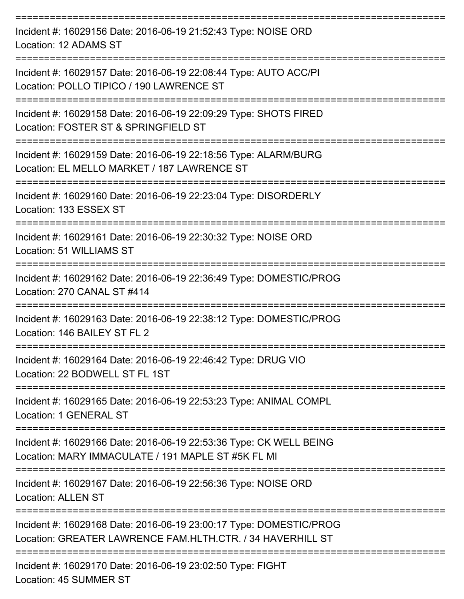| Incident #: 16029156 Date: 2016-06-19 21:52:43 Type: NOISE ORD<br>Location: 12 ADAMS ST                                          |
|----------------------------------------------------------------------------------------------------------------------------------|
| Incident #: 16029157 Date: 2016-06-19 22:08:44 Type: AUTO ACC/PI<br>Location: POLLO TIPICO / 190 LAWRENCE ST                     |
| Incident #: 16029158 Date: 2016-06-19 22:09:29 Type: SHOTS FIRED<br>Location: FOSTER ST & SPRINGFIELD ST                         |
| Incident #: 16029159 Date: 2016-06-19 22:18:56 Type: ALARM/BURG<br>Location: EL MELLO MARKET / 187 LAWRENCE ST                   |
| Incident #: 16029160 Date: 2016-06-19 22:23:04 Type: DISORDERLY<br>Location: 133 ESSEX ST                                        |
| Incident #: 16029161 Date: 2016-06-19 22:30:32 Type: NOISE ORD<br>Location: 51 WILLIAMS ST                                       |
| Incident #: 16029162 Date: 2016-06-19 22:36:49 Type: DOMESTIC/PROG<br>Location: 270 CANAL ST #414                                |
| Incident #: 16029163 Date: 2016-06-19 22:38:12 Type: DOMESTIC/PROG<br>Location: 146 BAILEY ST FL 2                               |
| Incident #: 16029164 Date: 2016-06-19 22:46:42 Type: DRUG VIO<br>Location: 22 BODWELL ST FL 1ST                                  |
| Incident #: 16029165 Date: 2016-06-19 22:53:23 Type: ANIMAL COMPL<br>Location: 1 GENERAL ST                                      |
| Incident #: 16029166 Date: 2016-06-19 22:53:36 Type: CK WELL BEING<br>Location: MARY IMMACULATE / 191 MAPLE ST #5K FL MI         |
| Incident #: 16029167 Date: 2016-06-19 22:56:36 Type: NOISE ORD<br><b>Location: ALLEN ST</b>                                      |
| Incident #: 16029168 Date: 2016-06-19 23:00:17 Type: DOMESTIC/PROG<br>Location: GREATER LAWRENCE FAM.HLTH.CTR. / 34 HAVERHILL ST |
| Incident #: 16029170 Date: 2016-06-19 23:02:50 Type: FIGHT                                                                       |

Location: 45 SUMMER ST